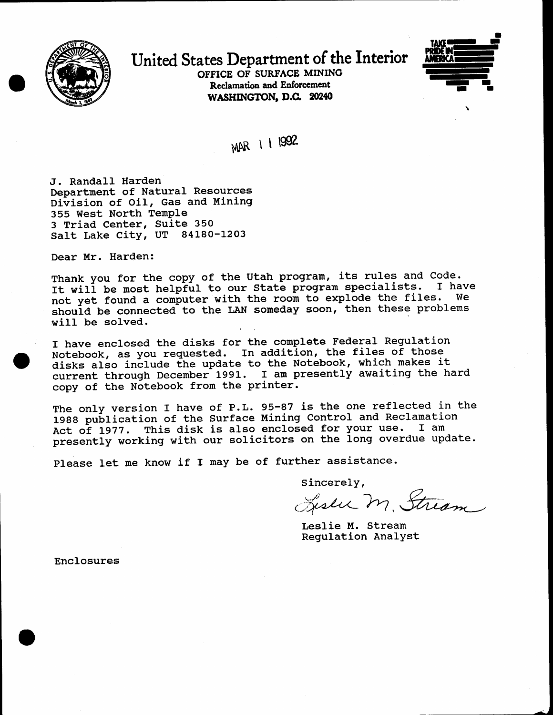

## United States Department of the Interior

OFFICE OF SURFACE MINING Reclamation and Enforcement WASHINGTON, D.C. 20240



MAR 1 1 1992

J. RandaII Harden Department of Natural Resources Division of Oil, Gas and Mining 355 West North Temple 3 Triad Center, Suite <sup>350</sup> Salt Lake City, UT 84180-1203

Dear Mr. Harden:

Thank you for the copy of the Utah program, its rules and Code.<br>It will be mest belnful to our State program specialists. I have It will be most helpful to our State program specialists. I have not yet found a computer with the room to explode the files. should be connected to the LAN someday soon, then these problems will be solved.

I have enclosed the disks for the complete Federal Regulation I have enclosed the disks for the comprese reacter hose and those<br>Notebook, as you requested. In addition, the files of those Notebook, as you requested. In addition, the fitted of these<br>disks also include the update to the Notebook, which makes it disks also include the update to the Notebook, which makes is copy of the Notebook from the printer.

.

The only version I have of P.L. 95-87 is the one reflected in the 1988 publication of the Surface Mining Control and Reclamation Act of L977. This disk is also enclosed for your use. I am presently working with our solicitors on the long overdue update.

Please let me know if I may be of further assistance.

Sincerely,

Liseu m. Stream

Leslie M. Stream Regulation Analyst

Enclosures